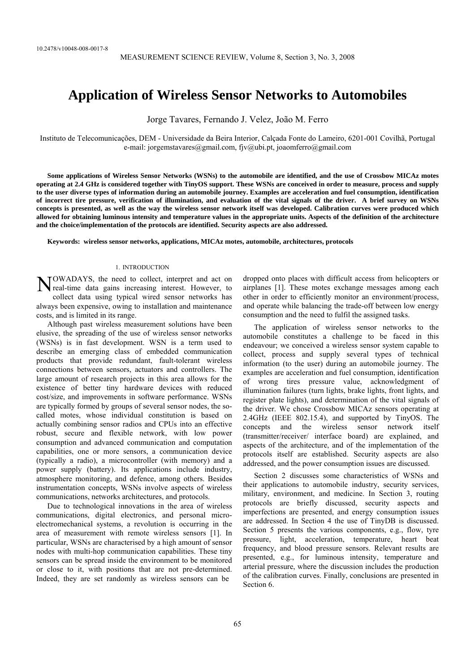# **Application of Wireless Sensor Networks to Automobiles**

Jorge Tavares, Fernando J. Velez, João M. Ferro

Instituto de Telecomunicações, DEM - Universidade da Beira Interior, Calçada Fonte do Lameiro, 6201-001 Covilhã, Portugal e-mail: jorgemstavares@gmail.com, fjv@ubi.pt, joaomferro@gmail.com

**Some applications of Wireless Sensor Networks (WSNs) to the automobile are identified, and the use of Crossbow MICAz motes operating at 2.4 GHz is considered together with TinyOS support. These WSNs are conceived in order to measure, process and supply to the user diverse types of information during an automobile journey. Examples are acceleration and fuel consumption, identification of incorrect tire pressure, verification of illumination, and evaluation of the vital signals of the driver. A brief survey on WSNs concepts is presented, as well as the way the wireless sensor network itself was developed. Calibration curves were produced which allowed for obtaining luminous intensity and temperature values in the appropriate units. Aspects of the definition of the architecture and the choice/implementation of the protocols are identified. Security aspects are also addressed.** 

**Keywords: wireless sensor networks, applications, MICAz motes, automobile, architectures, protocols** 

# 1. INTRODUCTION

OWADAYS, the need to collect, interpret and act on NOWADAYS, the need to collect, interpret and act on real-time data gains increasing interest. However, to collect data using typical wired sensor networks has always been expensive, owing to installation and maintenance costs, and is limited in its range.

Although past wireless measurement solutions have been elusive, the spreading of the use of wireless sensor networks (WSNs) is in fast development. WSN is a term used to describe an emerging class of embedded communication products that provide redundant, fault-tolerant wireless connections between sensors, actuators and controllers. The large amount of research projects in this area allows for the existence of better tiny hardware devices with reduced cost/size, and improvements in software performance. WSNs are typically formed by groups of several sensor nodes, the socalled motes, whose individual constitution is based on actually combining sensor radios and CPUs into an effective robust, secure and flexible network, with low power consumption and advanced communication and computation capabilities, one or more sensors, a communication device (typically a radio), a microcontroller (with memory) and a power supply (battery). Its applications include industry, atmosphere monitoring, and defence, among others. Besides instrumentation concepts, WSNs involve aspects of wireless communications, networks architectures, and protocols.

Due to technological innovations in the area of wireless communications, digital electronics, and personal microelectromechanical systems, a revolution is occurring in the area of measurement with remote wireless sensors [1]. In particular, WSNs are characterised by a high amount of sensor nodes with multi-hop communication capabilities. These tiny sensors can be spread inside the environment to be monitored or close to it, with positions that are not pre-determined. Indeed, they are set randomly as wireless sensors can be

dropped onto places with difficult access from helicopters or airplanes [1]. These motes exchange messages among each other in order to efficiently monitor an environment/process, and operate while balancing the trade-off between low energy consumption and the need to fulfil the assigned tasks.

The application of wireless sensor networks to the automobile constitutes a challenge to be faced in this endeavour; we conceived a wireless sensor system capable to collect, process and supply several types of technical information (to the user) during an automobile journey. The examples are acceleration and fuel consumption, identification of wrong tires pressure value, acknowledgment of illumination failures (turn lights, brake lights, front lights, and register plate lights), and determination of the vital signals of the driver. We chose Crossbow MICAz sensors operating at 2.4GHz (IEEE 802.15.4), and supported by TinyOS. The concepts and the wireless sensor network itself (transmitter/receiver/ interface board) are explained, and aspects of the architecture, and of the implementation of the protocols itself are established. Security aspects are also addressed, and the power consumption issues are discussed.

Section 2 discusses some characteristics of WSNs and their applications to automobile industry, security services, military, environment, and medicine. In Section 3, routing protocols are briefly discussed, security aspects and imperfections are presented, and energy consumption issues are addressed. In Section 4 the use of TinyDB is discussed. Section 5 presents the various components, e.g., flow, tyre pressure, light, acceleration, temperature, heart beat frequency, and blood pressure sensors. Relevant results are presented, e.g., for luminous intensity, temperature and arterial pressure, where the discussion includes the production of the calibration curves. Finally, conclusions are presented in Section 6.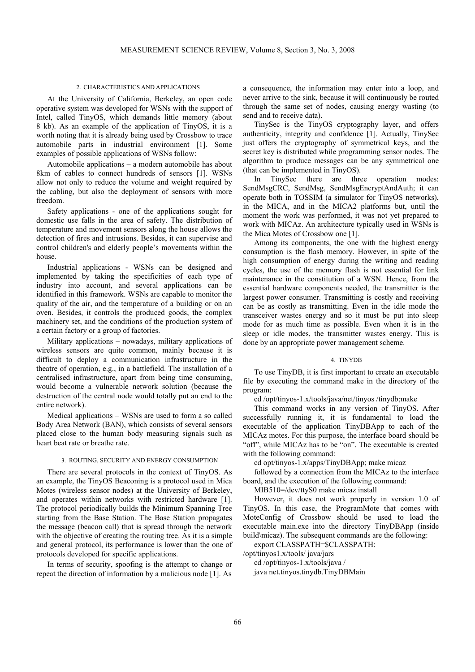### 2. CHARACTERISTICS AND APPLICATIONS

At the University of California, Berkeley, an open code operative system was developed for WSNs with the support of Intel, called TinyOS, which demands little memory (about 8 kb). As an example of the application of TinyOS, it is a worth noting that it is already being used by Crossbow to trace automobile parts in industrial environment [1]. Some examples of possible applications of WSNs follow:

Automobile applications – a modern automobile has about 8km of cables to connect hundreds of sensors [1]. WSNs allow not only to reduce the volume and weight required by the cabling, but also the deployment of sensors with more freedom.

Safety applications - one of the applications sought for domestic use falls in the area of safety. The distribution of temperature and movement sensors along the house allows the detection of fires and intrusions. Besides, it can supervise and control children's and elderly people's movements within the house.

Industrial applications - WSNs can be designed and implemented by taking the specificities of each type of industry into account, and several applications can be identified in this framework. WSNs are capable to monitor the quality of the air, and the temperature of a building or on an oven. Besides, it controls the produced goods, the complex machinery set, and the conditions of the production system of a certain factory or a group of factories.

Military applications – nowadays, military applications of wireless sensors are quite common, mainly because it is difficult to deploy a communication infrastructure in the theatre of operation, e.g., in a battlefield. The installation of a centralised infrastructure, apart from being time consuming, would become a vulnerable network solution (because the destruction of the central node would totally put an end to the entire network).

Medical applications – WSNs are used to form a so called Body Area Network (BAN), which consists of several sensors placed close to the human body measuring signals such as heart beat rate or breathe rate.

## 3. ROUTING, SECURITY AND ENERGY CONSUMPTION

There are several protocols in the context of TinyOS. As an example, the TinyOS Beaconing is a protocol used in Mica Motes (wireless sensor nodes) at the University of Berkeley, and operates within networks with restricted hardware [1]. The protocol periodically builds the Minimum Spanning Tree starting from the Base Station. The Base Station propagates the message (beacon call) that is spread through the network with the objective of creating the routing tree. As it is a simple and general protocol, its performance is lower than the one of protocols developed for specific applications.

In terms of security, spoofing is the attempt to change or repeat the direction of information by a malicious node [1]. As a consequence, the information may enter into a loop, and never arrive to the sink, because it will continuously be routed through the same set of nodes, causing energy wasting (to send and to receive data).

TinySec is the TinyOS cryptography layer, and offers authenticity, integrity and confidence [1]. Actually, TinySec just offers the cryptography of symmetrical keys, and the secret key is distributed while programming sensor nodes. The algorithm to produce messages can be any symmetrical one (that can be implemented in TinyOS).

In TinySec there are three operation modes: SendMsgCRC, SendMsg, SendMsgEncryptAndAuth; it can operate both in TOSSIM (a simulator for TinyOS networks), in the MICA, and in the MICA2 platforms but, until the moment the work was performed, it was not yet prepared to work with MICAz. An architecture typically used in WSNs is the Mica Motes of Crossbow one [1].

Among its components, the one with the highest energy consumption is the flash memory. However, in spite of the high consumption of energy during the writing and reading cycles, the use of the memory flash is not essential for link maintenance in the constitution of a WSN. Hence, from the essential hardware components needed, the transmitter is the largest power consumer. Transmitting is costly and receiving can be as costly as transmitting. Even in the idle mode the transceiver wastes energy and so it must be put into sleep mode for as much time as possible. Even when it is in the sleep or idle modes, the transmitter wastes energy. This is done by an appropriate power management scheme.

#### 4. TINYDB

To use TinyDB, it is first important to create an executable file by executing the command make in the directory of the program:

cd /opt/tinyos-1.x/tools/java/net/tinyos /tinydb;make

This command works in any version of TinyOS. After successfully running it, it is fundamental to load the executable of the application TinyDBApp to each of the MICAz motes. For this purpose, the interface board should be "off", while MICAz has to be "on". The executable is created with the following command:

cd opt/tinyos-1.x/apps/TinyDBApp; make micaz

followed by a connection from the MICAz to the interface board, and the execution of the following command:

MIB510=/dev/ttyS0 make micaz install

However, it does not work properly in version 1.0 of TinyOS. In this case, the ProgramMote that comes with MoteConfig of Crossbow should be used to load the executable main.exe into the directory TinyDBApp (inside build\micaz). The subsequent commands are the following:

export CLASSPATH=\$CLASSPATH:

/opt/tinyos1.x/tools/ java/jars

cd /opt/tinyos-1.x/tools/java /

java net.tinyos.tinydb.TinyDBMain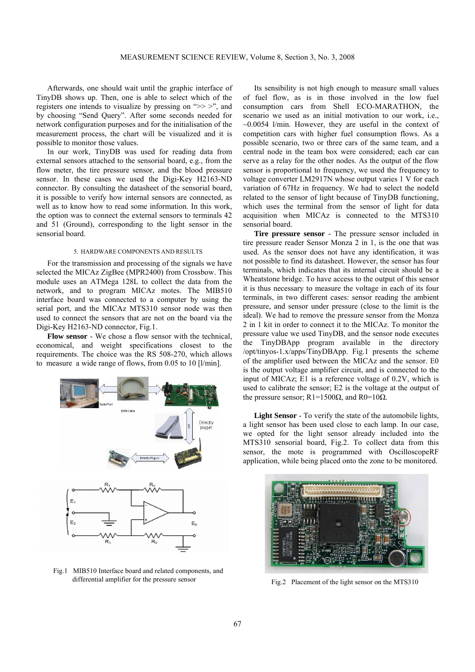Afterwards, one should wait until the graphic interface of TinyDB shows up. Then, one is able to select which of the registers one intends to visualize by pressing on " $>>$ ", and by choosing "Send Query". After some seconds needed for network configuration purposes and for the initialisation of the measurement process, the chart will be visualized and it is possible to monitor those values.

In our work, TinyDB was used for reading data from external sensors attached to the sensorial board, e.g., from the flow meter, the tire pressure sensor, and the blood pressure sensor. In these cases we used the Digi-Key H2163-ND connector. By consulting the datasheet of the sensorial board, it is possible to verify how internal sensors are connected, as well as to know how to read some information. In this work, the option was to connect the external sensors to terminals 42 and 51 (Ground), corresponding to the light sensor in the sensorial board.

## 5. HARDWARE COMPONENTS AND RESULTS

For the transmission and processing of the signals we have selected the MICAz ZigBee (MPR2400) from Crossbow. This module uses an ATMega 128L to collect the data from the network, and to program MICAz motes. The MIB510 interface board was connected to a computer by using the serial port, and the MICAz MTS310 sensor node was then used to connect the sensors that are not on the board via the Digi-Key H2163-ND connector, Fig.1.

**Flow sensor** - We chose a flow sensor with the technical, economical, and weight specifications closest to the requirements. The choice was the RS 508-270, which allows to measure a wide range of flows, from 0.05 to 10 [l/min].



Fig.1 MIB510 Interface board and related components, and differential amplifier for the pressure sensor

Its sensibility is not high enough to measure small values of fuel flow, as is in those involved in the low fuel consumption cars from Shell ECO-MARATHON, the scenario we used as an initial motivation to our work, i.e.,  $\sim$ 0.0054 l/min. However, they are useful in the context of competition cars with higher fuel consumption flows. As a possible scenario, two or three cars of the same team, and a central node in the team box were considered; each car can serve as a relay for the other nodes. As the output of the flow sensor is proportional to frequency, we used the frequency to voltage converter LM2917N whose output varies 1 V for each variation of 67Hz in frequency. We had to select the nodeId related to the sensor of light because of TinyDB functioning, which uses the terminal from the sensor of light for data acquisition when MICAz is connected to the MTS310 sensorial board.

**Tire pressure sensor** - The pressure sensor included in tire pressure reader Sensor Monza 2 in 1, is the one that was used. As the sensor does not have any identification, it was not possible to find its datasheet. However, the sensor has four terminals, which indicates that its internal circuit should be a Wheatstone bridge. To have access to the output of this sensor it is thus necessary to measure the voltage in each of its four terminals, in two different cases: sensor reading the ambient pressure, and sensor under pressure (close to the limit is the ideal). We had to remove the pressure sensor from the Monza 2 in 1 kit in order to connect it to the MICAz. To monitor the pressure value we used TinyDB, and the sensor node executes the TinyDBApp program available in the directory /opt/tinyos-1.x/apps/TinyDBApp. Fig.1 presents the scheme of the amplifier used between the MICAz and the sensor. E0 is the output voltage amplifier circuit, and is connected to the input of MICAz; E1 is a reference voltage of 0.2V, which is used to calibrate the sensor; E2 is the voltage at the output of the pressure sensor; R1=1500Ω, and R0=10Ω.

**Light Sensor** - To verify the state of the automobile lights, a light sensor has been used close to each lamp. In our case, we opted for the light sensor already included into the MTS310 sensorial board, Fig.2. To collect data from this sensor, the mote is programmed with OscilloscopeRF application, while being placed onto the zone to be monitored.



Fig.2 Placement of the light sensor on the MTS310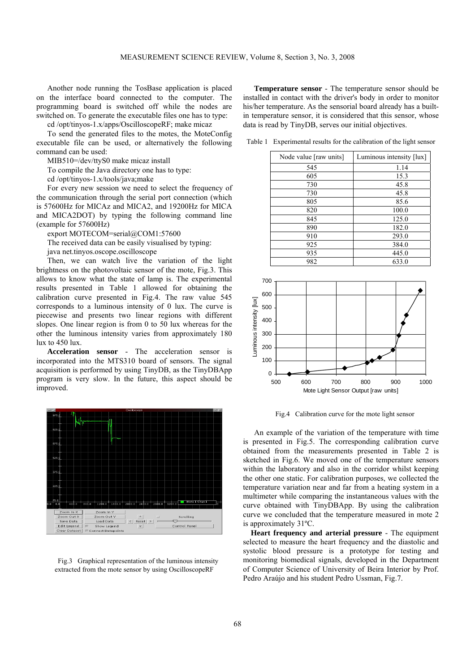Another node running the TosBase application is placed on the interface board connected to the computer. The programming board is switched off while the nodes are switched on. To generate the executable files one has to type:

cd /opt/tinyos-1.x/apps/OscilloscopeRF; make micaz

To send the generated files to the motes, the MoteConfig executable file can be used, or alternatively the following command can be used:

MIB510=/dev/ttyS0 make micaz install

To compile the Java directory one has to type:

cd /opt/tinyos-1.x/tools/java;make

For every new session we need to select the frequency of the communication through the serial port connection (which is 57600Hz for MICAz and MICA2, and 19200Hz for MICA and MICA2DOT) by typing the following command line (example for 57600Hz)

export MOTECOM=serial@COM1:57600

The received data can be easily visualised by typing:

java net.tinyos.oscope.oscilloscope

Then, we can watch live the variation of the light brightness on the photovoltaic sensor of the mote, Fig.3. This allows to know what the state of lamp is. The experimental results presented in Table 1 allowed for obtaining the calibration curve presented in Fig.4. The raw value 545 corresponds to a luminous intensity of 0 lux. The curve is piecewise and presents two linear regions with different slopes. One linear region is from 0 to 50 lux whereas for the other the luminous intensity varies from approximately 180 lux to 450 lux.

**Acceleration sensor** - The acceleration sensor is incorporated into the MTS310 board of sensors. The signal acquisition is performed by using TinyDB, as the TinyDBApp program is very slow. In the future, this aspect should be improved.



Fig.3 Graphical representation of the luminous intensity extracted from the mote sensor by using OscilloscopeRF

**Temperature sensor** - The temperature sensor should be installed in contact with the driver's body in order to monitor his/her temperature. As the sensorial board already has a builtin temperature sensor, it is considered that this sensor, whose data is read by TinyDB, serves our initial objectives.

Table 1 Experimental results for the calibration of the light sensor

| Node value [raw units] | Luminous intensity [lux] |
|------------------------|--------------------------|
| 545                    | 1.14                     |
| 605                    | 15.3                     |
| 730                    | 45.8                     |
| 730                    | 45.8                     |
| 805                    | 85.6                     |
| 820                    | 100.0                    |
| 845                    | 125.0                    |
| 890                    | 182.0                    |
| 910                    | 293.0                    |
| 925                    | 384.0                    |
| 935                    | 445.0                    |
| 982                    | 633.0                    |



Fig.4 Calibration curve for the mote light sensor

An example of the variation of the temperature with time is presented in Fig.5. The corresponding calibration curve obtained from the measurements presented in Table 2 is sketched in Fig.6. We moved one of the temperature sensors within the laboratory and also in the corridor whilst keeping the other one static. For calibration purposes, we collected the temperature variation near and far from a heating system in a multimeter while comparing the instantaneous values with the curve obtained with TinyDBApp. By using the calibration curve we concluded that the temperature measured in mote 2 is approximately 31ºC.

**Heart frequency and arterial pressure** - The equipment selected to measure the heart frequency and the diastolic and systolic blood pressure is a prototype for testing and monitoring biomedical signals, developed in the Department of Computer Science of University of Beira Interior by Prof. Pedro Araújo and his student Pedro Ussman, Fig.7.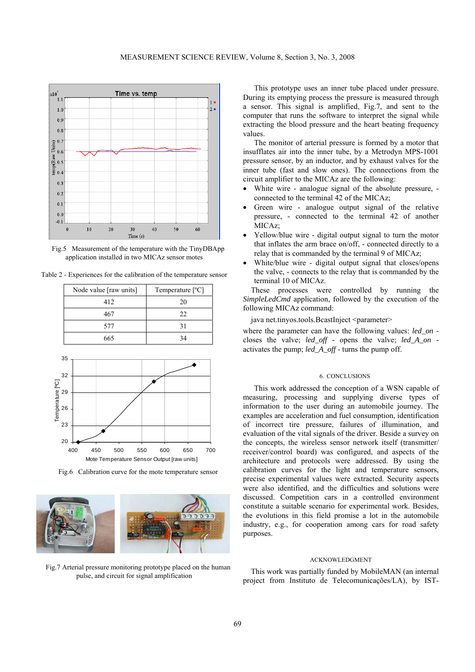

Fig.5 Measurement of the temperature with the TinyDBApp application installed in two MICAz sensor motes

Table 2 - Experiences for the calibration of the temperature sensor





Fig.6 Calibration curve for the mote temperature sensor



Fig.7 Arterial pressure monitoring prototype placed on the human pulse, and circuit for signal amplification

This prototype uses an inner tube placed under pressure. During its emptying process the pressure is measured through a sensor. This signal is amplified, Fig.7, and sent to the computer that runs the software to interpret the signal while extracting the blood pressure and the heart beating frequency values.

The monitor of arterial pressure is formed by a motor that insufflates air into the inner tube, by a Metrodyn MPS-1001 pressure sensor, by an inductor, and by exhaust valves for the inner tube (fast and slow ones). The connections from the circuit amplifier to the MICAz are the following:

- White wire analogue signal of the absolute pressure, connected to the terminal 42 of the MICAz;
- Green wire analogue output signal of the relative pressure, - connected to the terminal 42 of another MICAz;
- Yellow/blue wire digital output signal to turn the motor that inflates the arm brace on/off, - connected directly to a relay that is commanded by the terminal 9 of MICAz;
- White/blue wire digital output signal that closes/opens the valve, - connects to the relay that is commanded by the terminal 10 of MICAz.

These processes were controlled by running the *SimpleLedCmd* application, followed by the execution of the following MICAz command:

java net.tinyos.tools.BcastInject <parameter>

where the parameter can have the following values: *led\_on* closes the valve; *led\_off* - opens the valve; *led\_A\_on* activates the pump; *led\_A\_off* - turns the pump off.

# 6. CONCLUSIONS

This work addressed the conception of a WSN capable of measuring, processing and supplying diverse types of information to the user during an automobile journey. The examples are acceleration and fuel consumption, identification of incorrect tire pressure, failures of illumination, and evaluation of the vital signals of the driver. Beside a survey on the concepts, the wireless sensor network itself (transmitter/ receiver/control board) was configured, and aspects of the architecture and protocols were addressed. By using the calibration curves for the light and temperature sensors, precise experimental values were extracted. Security aspects were also identified, and the difficulties and solutions were discussed. Competition cars in a controlled environment constitute a suitable scenario for experimental work. Besides, the evolutions in this field promise a lot in the automobile industry, e.g., for cooperation among cars for road safety purposes.

#### ACKNOWLEDGMENT

This work was partially funded by MobileMAN (an internal project from Instituto de Telecomunicações/LA), by IST-